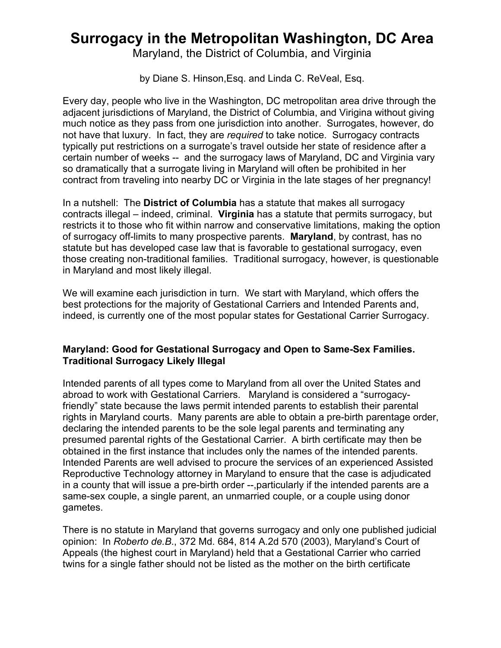## **Surrogacy in the Metropolitan Washington, DC Area**

Maryland, the District of Columbia, and Virginia

by Diane S. Hinson,Esq. and Linda C. ReVeal, Esq.

Every day, people who live in the Washington, DC metropolitan area drive through the adjacent jurisdictions of Maryland, the District of Columbia, and Virigina without giving much notice as they pass from one jurisdiction into another. Surrogates, however, do not have that luxury. In fact, they are *required* to take notice. Surrogacy contracts typically put restrictions on a surrogate's travel outside her state of residence after a certain number of weeks -- and the surrogacy laws of Maryland, DC and Virginia vary so dramatically that a surrogate living in Maryland will often be prohibited in her contract from traveling into nearby DC or Virginia in the late stages of her pregnancy!

In a nutshell: The **District of Columbia** has a statute that makes all surrogacy contracts illegal – indeed, criminal. **Virginia** has a statute that permits surrogacy, but restricts it to those who fit within narrow and conservative limitations, making the option of surrogacy off-limits to many prospective parents. **Maryland**, by contrast, has no statute but has developed case law that is favorable to gestational surrogacy, even those creating non-traditional families. Traditional surrogacy, however, is questionable in Maryland and most likely illegal.

We will examine each jurisdiction in turn. We start with Maryland, which offers the best protections for the majority of Gestational Carriers and Intended Parents and, indeed, is currently one of the most popular states for Gestational Carrier Surrogacy.

## **Maryland: Good for Gestational Surrogacy and Open to Same-Sex Families. Traditional Surrogacy Likely Illegal**

Intended parents of all types come to Maryland from all over the United States and abroad to work with Gestational Carriers. Maryland is considered a "surrogacyfriendly" state because the laws permit intended parents to establish their parental rights in Maryland courts. Many parents are able to obtain a pre-birth parentage order, declaring the intended parents to be the sole legal parents and terminating any presumed parental rights of the Gestational Carrier. A birth certificate may then be obtained in the first instance that includes only the names of the intended parents. Intended Parents are well advised to procure the services of an experienced Assisted Reproductive Technology attorney in Maryland to ensure that the case is adjudicated in a county that will issue a pre-birth order --,particularly if the intended parents are a same-sex couple, a single parent, an unmarried couple, or a couple using donor gametes.

There is no statute in Maryland that governs surrogacy and only one published judicial opinion: In *Roberto de.B*., 372 Md. 684, 814 A.2d 570 (2003), Maryland's Court of Appeals (the highest court in Maryland) held that a Gestational Carrier who carried twins for a single father should not be listed as the mother on the birth certificate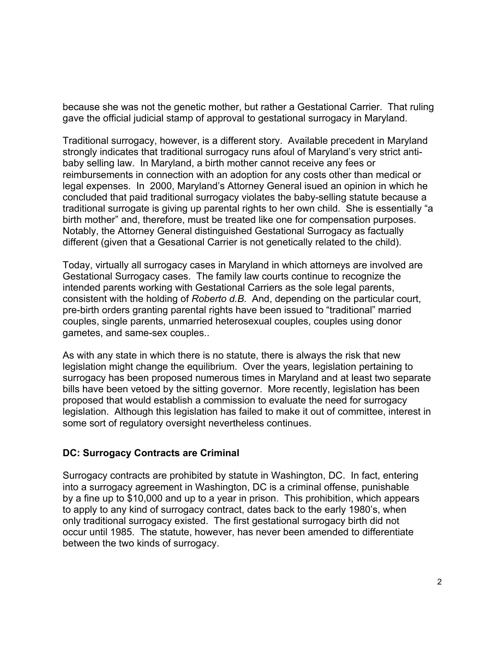because she was not the genetic mother, but rather a Gestational Carrier. That ruling gave the official judicial stamp of approval to gestational surrogacy in Maryland.

Traditional surrogacy, however, is a different story. Available precedent in Maryland strongly indicates that traditional surrogacy runs afoul of Maryland's very strict antibaby selling law. In Maryland, a birth mother cannot receive any fees or reimbursements in connection with an adoption for any costs other than medical or legal expenses. In 2000, Maryland's Attorney General isued an opinion in which he concluded that paid traditional surrogacy violates the baby-selling statute because a traditional surrogate is giving up parental rights to her own child. She is essentially "a birth mother" and, therefore, must be treated like one for compensation purposes. Notably, the Attorney General distinguished Gestational Surrogacy as factually different (given that a Gesational Carrier is not genetically related to the child).

Today, virtually all surrogacy cases in Maryland in which attorneys are involved are Gestational Surrogacy cases. The family law courts continue to recognize the intended parents working with Gestational Carriers as the sole legal parents, consistent with the holding of *Roberto d.B*. And, depending on the particular court, pre-birth orders granting parental rights have been issued to "traditional" married couples, single parents, unmarried heterosexual couples, couples using donor gametes, and same-sex couples..

As with any state in which there is no statute, there is always the risk that new legislation might change the equilibrium. Over the years, legislation pertaining to surrogacy has been proposed numerous times in Maryland and at least two separate bills have been vetoed by the sitting governor. More recently, legislation has been proposed that would establish a commission to evaluate the need for surrogacy legislation. Although this legislation has failed to make it out of committee, interest in some sort of regulatory oversight nevertheless continues.

## **DC: Surrogacy Contracts are Criminal**

Surrogacy contracts are prohibited by statute in Washington, DC. In fact, entering into a surrogacy agreement in Washington, DC is a criminal offense, punishable by a fine up to \$10,000 and up to a year in prison. This prohibition, which appears to apply to any kind of surrogacy contract, dates back to the early 1980's, when only traditional surrogacy existed. The first gestational surrogacy birth did not occur until 1985. The statute, however, has never been amended to differentiate between the two kinds of surrogacy.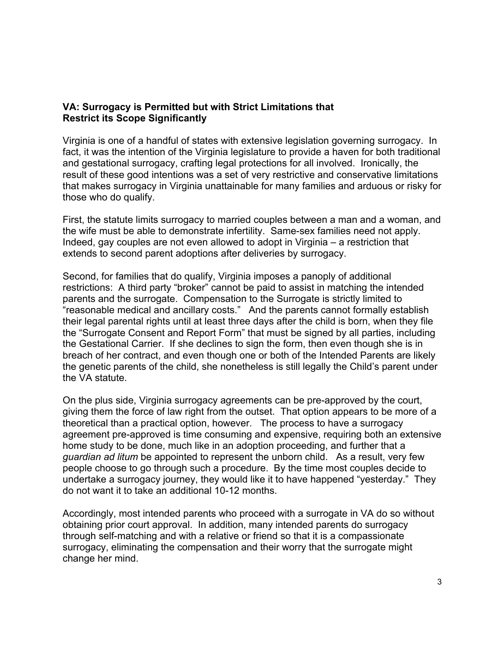## **VA: Surrogacy is Permitted but with Strict Limitations that Restrict its Scope Significantly**

Virginia is one of a handful of states with extensive legislation governing surrogacy. In fact, it was the intention of the Virginia legislature to provide a haven for both traditional and gestational surrogacy, crafting legal protections for all involved. Ironically, the result of these good intentions was a set of very restrictive and conservative limitations that makes surrogacy in Virginia unattainable for many families and arduous or risky for those who do qualify.

First, the statute limits surrogacy to married couples between a man and a woman, and the wife must be able to demonstrate infertility. Same-sex families need not apply. Indeed, gay couples are not even allowed to adopt in Virginia – a restriction that extends to second parent adoptions after deliveries by surrogacy.

Second, for families that do qualify, Virginia imposes a panoply of additional restrictions: A third party "broker" cannot be paid to assist in matching the intended parents and the surrogate. Compensation to the Surrogate is strictly limited to "reasonable medical and ancillary costs." And the parents cannot formally establish their legal parental rights until at least three days after the child is born, when they file the "Surrogate Consent and Report Form" that must be signed by all parties, including the Gestational Carrier. If she declines to sign the form, then even though she is in breach of her contract, and even though one or both of the Intended Parents are likely the genetic parents of the child, she nonetheless is still legally the Child's parent under the VA statute.

On the plus side, Virginia surrogacy agreements can be pre-approved by the court, giving them the force of law right from the outset. That option appears to be more of a theoretical than a practical option, however. The process to have a surrogacy agreement pre-approved is time consuming and expensive, requiring both an extensive home study to be done, much like in an adoption proceeding, and further that a *guardian ad litum* be appointed to represent the unborn child. As a result, very few people choose to go through such a procedure. By the time most couples decide to undertake a surrogacy journey, they would like it to have happened "yesterday." They do not want it to take an additional 10-12 months.

Accordingly, most intended parents who proceed with a surrogate in VA do so without obtaining prior court approval. In addition, many intended parents do surrogacy through self-matching and with a relative or friend so that it is a compassionate surrogacy, eliminating the compensation and their worry that the surrogate might change her mind.